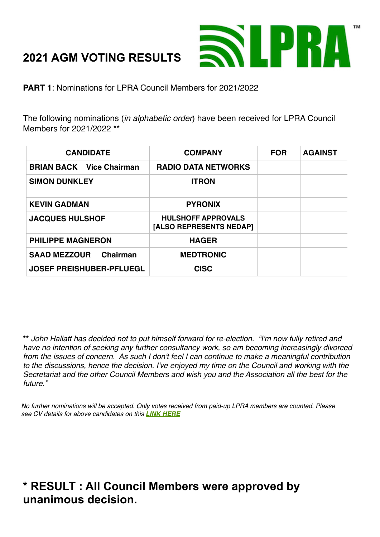# **2021 AGM VOTING RESULTS**



**PART 1**: Nominations for LPRA Council Members for 2021/2022

The following nominations (*in alphabetic order*) have been received for LPRA Council Members for 2021/2022 \*\*

| <b>CANDIDATE</b>                | <b>COMPANY</b>                                       | <b>FOR</b> | <b>AGAINST</b> |
|---------------------------------|------------------------------------------------------|------------|----------------|
| <b>BRIAN BACK Vice Chairman</b> | <b>RADIO DATA NETWORKS</b>                           |            |                |
| <b>SIMON DUNKLEY</b>            | <b>ITRON</b>                                         |            |                |
| <b>KEVIN GADMAN</b>             | <b>PYRONIX</b>                                       |            |                |
| <b>JACQUES HULSHOF</b>          | <b>HULSHOFF APPROVALS</b><br>[ALSO REPRESENTS NEDAP] |            |                |
| <b>PHILIPPE MAGNERON</b>        | <b>HAGER</b>                                         |            |                |
| <b>SAAD MEZZOUR</b><br>Chairman | <b>MEDTRONIC</b>                                     |            |                |
| <b>JOSEF PREISHUBER-PFLUEGL</b> | <b>CISC</b>                                          |            |                |

**\*\*** *John Hallatt has decided not to put himself forward for re-election. "I'm now fully retired and have no intention of seeking any further consultancy work, so am becoming increasingly divorced from the issues of concern. As such I don't feel I can continue to make a meaningful contribution to the discussions, hence the decision. I've enjoyed my time on the Council and working with the Secretariat and the other Council Members and wish you and the Association all the best for the future."*

*No further nominations will be accepted. Only votes received from paid-up LPRA members are counted. Please see CV details for above candidates on this [LINK HERE](http://lpra.org/about-us/council-members/)*

# **\* RESULT : All Council Members were approved by unanimous decision.**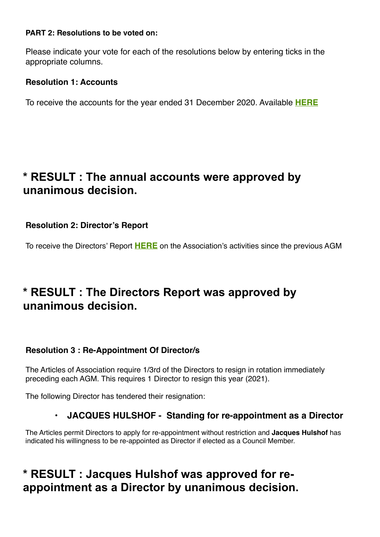#### **PART 2: Resolutions to be voted on:**

Please indicate your vote for each of the resolutions below by entering ticks in the appropriate columns.

#### **Resolution 1: Accounts**

To receive the accounts for the year ended 31 December 2020. Available **[HERE](http://lpra.org/assets/members-files/LPRA-full-acc-20.pdf)**

### **\* RESULT : The annual accounts were approved by unanimous decision.**

**Resolution 2: Director's Report**

To receive the Directors' Report **[HERE](http://lpra.org/assets/members-files/LPRA-AGM-2021-CHAIRMAN-DIRECTORS-REPORT-.pdf)** on the Association's activities since the previous AGM

### **\* RESULT : The Directors Report was approved by unanimous decision.**

#### **Resolution 3 : Re-Appointment Of Director/s**

The Articles of Association require 1/3rd of the Directors to resign in rotation immediately preceding each AGM. This requires 1 Director to resign this year (2021).

The following Director has tendered their resignation:

### **• JACQUES HULSHOF - Standing for re-appointment as a Director**

The Articles permit Directors to apply for re-appointment without restriction and **Jacques Hulshof** has indicated his willingness to be re-appointed as Director if elected as a Council Member.

## **\* RESULT : Jacques Hulshof was approved for reappointment as a Director by unanimous decision.**